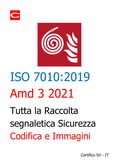



# ISO 7010:2019 Amd 3 2021

Tutta la Raccolta segnaletica Sicurezza Codifica e Immagini

Certifico Srl - IT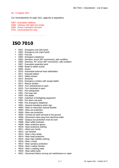Ed. 7.0 Agosto 2021

Con l'emendamento A3 luglio 2021, aggiunta la segnaletica:

E067 - Evacuation mattress

E068 - Lifebuoy with light and smoke

- E069 Person overboard call point
- F019 Unconnected fire hose

#### **ISO 7010**

- **E001 Emergency exit (left hand)**
- **EDU2** Emergency exit (right hand)
- E003 First aid
- **E004 Emergency telephone**
- E005 Direction, arrow (90° incremenst), safe condition
- E006 Direction, 45° arrow (90° increments). safe condition
- **E007 Evacuation assembly point**
- **E008 Break to obtain access**
- E009 Doctor
- E010 Automated external heart defibrillator
- **E011 Evewash station**
- **E012 Safety shower**
- **E013 Stretcher**
- **E016 Emergency window with escape ladder**
- **E017 Rescue window**
- **E018 Turn anticlockwise to open**
- **E019 Turn clockwise to open**
- **F001 Fire extinguisher**
- **F002** Fire hose reel
- **F003 Fire ladder**
- **F004 Collection of firefighting equipment**
- **FOO5** Fire alarm call point
- **F006 Fire emergency telephone**
- **M001 General mandatory action sign**
- **M002 Refer to instruction manual-booklet**
- **M003 Wear ear protection**
- **M004 Wear eye protection**
- **M005 Connect an earth terminal to the ground**
- **M006 Disconnect mains plug from electrical outlet**
- **M007 Opaque eye protection must be wom**
- **M008 Wear safety footwear**
- **M009 Wear protective gloves**
- **M010 Wear protective clothing**
- **M011 Wash your hands**
- M012 use handrail
- **M013 Wear a face shield**
- **M014 Wear head protection**
- **M015 Wear high-visibility clothing**
- **M016 Wear a mask**
- **M017 Wear spiratory protection**
- **M018 Wear a safety hamess**
- **M019 Wear a welding mask**
- **M020 Wear safety belts**
- M021 Disconnect before carryng out maintenance or repair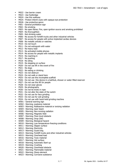- **M022 Use barrier cream**
- M023 Use footbridge
- **M024 Use this walkway**
- M025 Protect infant's eyes with opaque eye protection
- **M026 Use protective apron**
- P001 General prohibition sign
- P002 No smoking
- P003 No open flame; Fire, open ignition source and amoking prohibited
- P004 No thoroughfare
- **P005 Not drinking water**
- P006 No access for forklift trucks and other industrial vehicles
- P007 No access for people with active implanted cardiac devices
- P008 No metallic articles or watches
- P010 Do not touch
- **P011 Do not extinguish with water**
- P012 No heavy load
- **P013 No activated mobile phones**
- **P014 No access for people with metallic implants**
- **P015 No reaching in**
- P017 No pushing
- **P018 No siting**
- P019 No stepping on surface
- **P020** Do not use lift in the event of fire
- $P021 No$  dogs
- **P022 No eating or drinking**
- P023 Do not obstruct
- **P024 Do not walk or stand here**
- **P025 Do not use this incomplete scaffold**
- P026 Do not use this device in a bathtub, shower or water-filled reservoir
- **P027 Do not use this lift for people**
- **P028 Do not wear gloves**
- P029 No photography
- P030 Do not tie knots in rope
- **P031 Do not alter the state of the switch**
- P032 Do not use for face grinding
- **P033 Do not use for wet grinding**
- **P034 Do not use with hand-held grinding machine**
- W001 General warning sign
- **WOO2 Warning**; explosive material
- W003 Warning; Radioactive material or ionizing radiation
- W004 Warning; laser beam
- W005 Warning; Non-ionizing radiation
- W006 Warning; Magnetic field
- W007 Warning; Floor-level obstacle
- W008 Warning; Drop (fall)
- W009 Warning; Biological hazard
- W010 Warning; Low temperature-freezing conditions
- **W011 Warning; Slipper surface**
- **WO12 Warning: Electricity**
- W013 Warning; Guard dog
- W014 Warning; Forklift trucks and other industrial vehicles
- W015 Warning; Overhead load
- W016 Warning; Toxic material
- W017 Warning; Hot surface
- W018 Warning; Automatic Start-up
- W019 Warning; Crushing
- W020 Warning; Overthead obstacle
- W021 Warning; Flammable material
- W022 Warning; Sharp element
- W023 Warning; Corrosive substance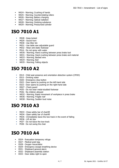- W024 Warning; Crushing of hands
- W025 Warning; Counterrotating rollers
- W026 Warning; Battery charging
- W027 Warning; Optical radiation
- W028 Warning; Oxidzing substance
- W029 Warning; Pressurized cylinder

### **ISO 7010 A1**

- **M028 Keep locked**
- **M029 Sound horn**
- **M030 Use litter bin**
- **M031 Use table saw adjustable guard**
- **M032 Wear anti-static footwear**
- P016 Do not spray with water
- W030 Warning; Hand crushing between press brake tool
- W031 Warning; Hand crushing between press brake and material
- W033 Warning; Barbed wire
- W034 Warning; Bull
- W035 Warning; Falling objects

## **ISO 7010 A2**

- E014 Child seat presence and orientation detection system (CPOD)
- **E015 Drinking water**
- **E020 Emergency stop button**
- E022 Door opens by pushing on the left-hand side
- E023 Door opens by pushing on the right-hand side
- **M027 Check quard**
- P035 Do not wear metal-studded footwear
- P036 No children allowed
- W032 Warning; Rapid movement of workpiece in press brake
- W036 Warning; Fragile roof
- W038 Warning; Sudden loud noise

## **ISO 7010 A3**

- **M033 Close safety bar of chairlift**
- **M034 Open safety bar of chairlift**
- M035 Immediately leave the tow-track in the event of falling
- **M036 Lift ski tips**
- **P037 Do not leave the tow-track**
- **P038 Do not swing the chair**

# **ISO 7010 A4**

- **E024 Evacuation temporary refuge**
- **E027 Medical grab bag**
- **E028 Oxygen resuscitator**
- **E029 Emergency escape breathing device**
- **E031 Shipboard general alarm**
- **E032 Shipboard assembly station**
- **E033 Door slides right to open**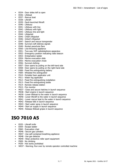- **E034 Door slides left to open**
- E036 Lifeboat
- E037 Rescue boat
- E038 Liferaft
- E039 Davit-launched liferaft
- E040 Lifebuoy
- **E041 Lifebuoy with line**
- **E042 Lifebuoy with light**
- **E043 Lifebuoy line and light**
- **E044 Lifejacket**
- **E045 Child's lifejacket**
- **E046 Infant's lifejacket**
- **E047 Search and rescue transponder**
- **E048 Survival craft distress signals**
- **E049 Rocket parachute flare**
- **E050 Line-throwing appliance**
- **E051 Two-way VHF radiotelephone apparatus**
- E052 Emergency position indicating radio beacon
- **E053 Embarkation ladder**
- **E054 Marine evacuation slide**
- **E055 Marine evacuation chute**
- **E056 Survival clothing**
- **E057 Door opens by pulling on the left-hand side**
- E058 Door opens by pulling on the right-hand side
- **F008 Fixed fire extinguishing battery**
- F009 Wheeled fire extinguisher
- **F010 Portable foam applicator unit**
- **FO11 Water fog applicator**
- F012 Fixed fire extinguishing installation
- **F013 Fixed fire extinguishing bottle**
- **F014 Remote release station**
- **FO15 Fire monitor**
- M037 Close and secure hatches in launch sequence
- **M038 Start engine in launch sequence**
- M039 Lower lifeboat to the water in launch sequence
- M040 Lower liferaft to the water in launch sequence
- **M041 Lower rescue boat to the water in launch sequence**
- **M042 Release falls in launch sequence**
- **M043 Start water spray in launch sequence**
- **M044 Start air supply in launch sequence**
- **M045 Release lifeboat gripes in launch sequence**

#### **ISO 7010 A5**

- E035 Liferaft knife
- **E059 Escape ladder**
- **E060 Evacuation chair**
- **M046 Secure gas cylinders**
- **M047 Use self-contained breathing appliance**
- **M048 Use gas detector**
- **M049 Wear protective roller sport equipment**
- P009 No climbing
- **P039 Hot works prohibited**
- W037 Warning; Run over by remote operator controlled machine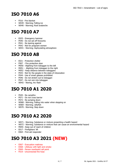# **ISO 7010 A6**

- **FO16 Fire blanket**
- W039 Warning; Falling ice
- W040 Warning; Roof avalanche

## **ISO 7010 A7**

- **E025 Emergency hammer**
- P040 Do not set off fireworks
- P041 No leaning against
- P042 Not for pregnant women
- W041 Warning; Asphyxiating atmosphere

## **ISO 7010 A8**

- **E021 Protection shelter**
- **F007** Fire protection door
- **M050 Alighting from toboggan to the left**
- **M051 Alighting from toboggan to the right**
- **M052 Keep distance between toboggans**
- P043 Not for the people in the state of intoxication
- P044 Use of smart glasses prohibited
- P046 Do not stretch out to toboggan
- **P047 Do not ram into toboggan**
- **WO42 Waring: Arc flash**

#### **ISO 7010 A1 2020**

- P045 No campfire
- **P071 Do not cross barrier**
- **P072 No jumping down**
- W068 Warning; Falling into water when stepping on
- W069 Warning; Jellyfish
- W070 Warning; Step down

# **ISO 7010 A2 2020**

- W071 Warning; Substance or mixture presenting a health hazard
- W072 Warning; Substance or mixture that can cause an environmental hazard
- **M055** Keep out of reach of children
- **E017 Firefighters' lift**
- **E064 First aid responder**

# **ISO 7010 A3 2021 (NEW)**

- **E067 Evacuation mattress**
- **E068 Lifebuoy with light and smoke**
- **E069 Person overboard call point**
- **FO19 Unconnected fire hose**